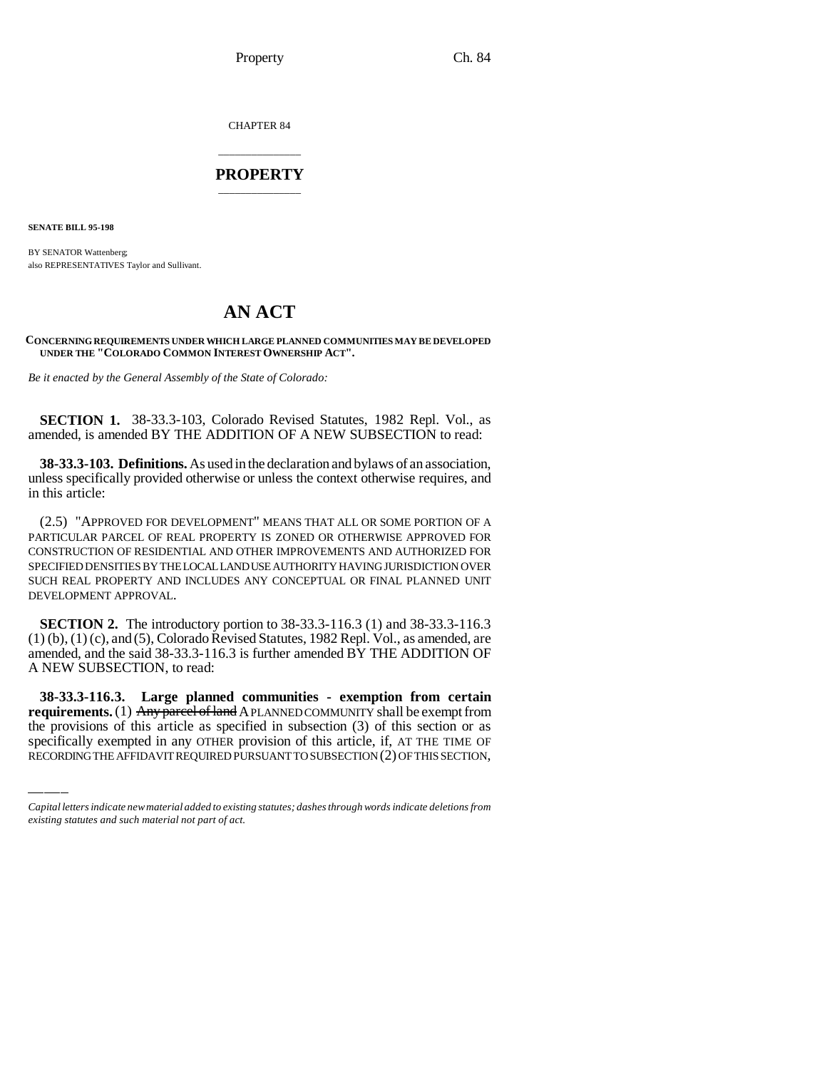Property Ch. 84

CHAPTER 84

## \_\_\_\_\_\_\_\_\_\_\_\_\_\_\_ **PROPERTY** \_\_\_\_\_\_\_\_\_\_\_\_\_\_\_

**SENATE BILL 95-198**

BY SENATOR Wattenberg; also REPRESENTATIVES Taylor and Sullivant.

## **AN ACT**

**CONCERNING REQUIREMENTS UNDER WHICH LARGE PLANNED COMMUNITIES MAY BE DEVELOPED UNDER THE "COLORADO COMMON INTEREST OWNERSHIP ACT".**

*Be it enacted by the General Assembly of the State of Colorado:*

**SECTION 1.** 38-33.3-103, Colorado Revised Statutes, 1982 Repl. Vol., as amended, is amended BY THE ADDITION OF A NEW SUBSECTION to read:

**38-33.3-103. Definitions.** As used in the declaration and bylaws of an association, unless specifically provided otherwise or unless the context otherwise requires, and in this article:

(2.5) "APPROVED FOR DEVELOPMENT" MEANS THAT ALL OR SOME PORTION OF A PARTICULAR PARCEL OF REAL PROPERTY IS ZONED OR OTHERWISE APPROVED FOR CONSTRUCTION OF RESIDENTIAL AND OTHER IMPROVEMENTS AND AUTHORIZED FOR SPECIFIED DENSITIES BY THE LOCAL LAND USE AUTHORITY HAVING JURISDICTION OVER SUCH REAL PROPERTY AND INCLUDES ANY CONCEPTUAL OR FINAL PLANNED UNIT DEVELOPMENT APPROVAL.

**SECTION 2.** The introductory portion to 38-33.3-116.3 (1) and 38-33.3-116.3  $(1)$  (b),  $(1)$  (c), and  $(5)$ , Colorado Revised Statutes, 1982 Repl. Vol., as amended, are amended, and the said 38-33.3-116.3 is further amended BY THE ADDITION OF A NEW SUBSECTION, to read:

 **38-33.3-116.3. Large planned communities - exemption from certain requirements.** (1) Any parcel of land A PLANNED COMMUNITY shall be exempt from the provisions of this article as specified in subsection (3) of this section or as specifically exempted in any OTHER provision of this article, if, AT THE TIME OF RECORDING THE AFFIDAVIT REQUIRED PURSUANT TO SUBSECTION (2) OF THIS SECTION,

*Capital letters indicate new material added to existing statutes; dashes through words indicate deletions from existing statutes and such material not part of act.*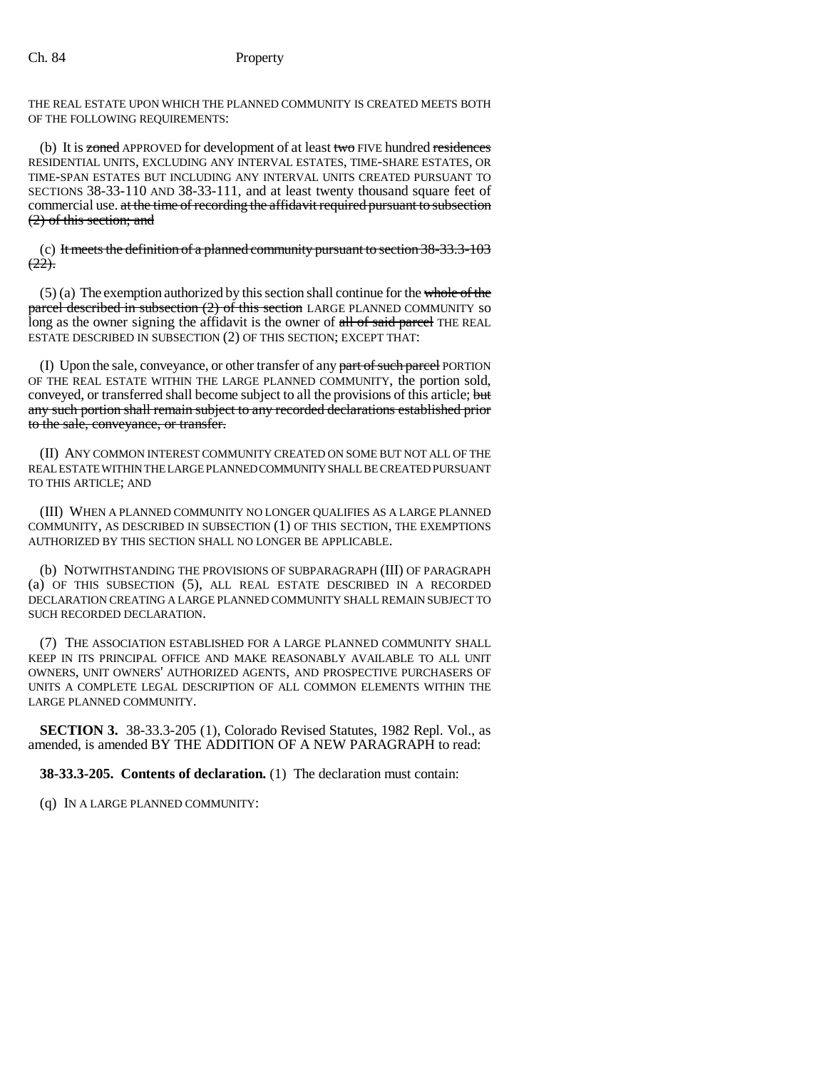THE REAL ESTATE UPON WHICH THE PLANNED COMMUNITY IS CREATED MEETS BOTH OF THE FOLLOWING REQUIREMENTS:

(b) It is zoned APPROVED for development of at least two FIVE hundred residences RESIDENTIAL UNITS, EXCLUDING ANY INTERVAL ESTATES, TIME-SHARE ESTATES, OR TIME-SPAN ESTATES BUT INCLUDING ANY INTERVAL UNITS CREATED PURSUANT TO SECTIONS 38-33-110 AND 38-33-111, and at least twenty thousand square feet of commercial use. at the time of recording the affidavit required pursuant to subsection (2) of this section; and

(c) It meets the definition of a planned community pursuant to section 38-33.3-103  $(22)$ .

 $(5)$  (a) The exemption authorized by this section shall continue for the whole of the parcel described in subsection (2) of this section LARGE PLANNED COMMUNITY so long as the owner signing the affidavit is the owner of all of said parcel THE REAL ESTATE DESCRIBED IN SUBSECTION (2) OF THIS SECTION; EXCEPT THAT:

(I) Upon the sale, conveyance, or other transfer of any part of such parcel PORTION OF THE REAL ESTATE WITHIN THE LARGE PLANNED COMMUNITY, the portion sold, conveyed, or transferred shall become subject to all the provisions of this article; but any such portion shall remain subject to any recorded declarations established prior to the sale, conveyance, or transfer.

(II) ANY COMMON INTEREST COMMUNITY CREATED ON SOME BUT NOT ALL OF THE REAL ESTATE WITHIN THE LARGE PLANNED COMMUNITY SHALL BE CREATED PURSUANT TO THIS ARTICLE; AND

(III) WHEN A PLANNED COMMUNITY NO LONGER QUALIFIES AS A LARGE PLANNED COMMUNITY, AS DESCRIBED IN SUBSECTION (1) OF THIS SECTION, THE EXEMPTIONS AUTHORIZED BY THIS SECTION SHALL NO LONGER BE APPLICABLE.

(b) NOTWITHSTANDING THE PROVISIONS OF SUBPARAGRAPH (III) OF PARAGRAPH (a) OF THIS SUBSECTION (5), ALL REAL ESTATE DESCRIBED IN A RECORDED DECLARATION CREATING A LARGE PLANNED COMMUNITY SHALL REMAIN SUBJECT TO SUCH RECORDED DECLARATION.

(7) THE ASSOCIATION ESTABLISHED FOR A LARGE PLANNED COMMUNITY SHALL KEEP IN ITS PRINCIPAL OFFICE AND MAKE REASONABLY AVAILABLE TO ALL UNIT OWNERS, UNIT OWNERS' AUTHORIZED AGENTS, AND PROSPECTIVE PURCHASERS OF UNITS A COMPLETE LEGAL DESCRIPTION OF ALL COMMON ELEMENTS WITHIN THE LARGE PLANNED COMMUNITY.

**SECTION 3.** 38-33.3-205 (1), Colorado Revised Statutes, 1982 Repl. Vol., as amended, is amended BY THE ADDITION OF A NEW PARAGRAPH to read:

**38-33.3-205. Contents of declaration.** (1) The declaration must contain:

(q) IN A LARGE PLANNED COMMUNITY: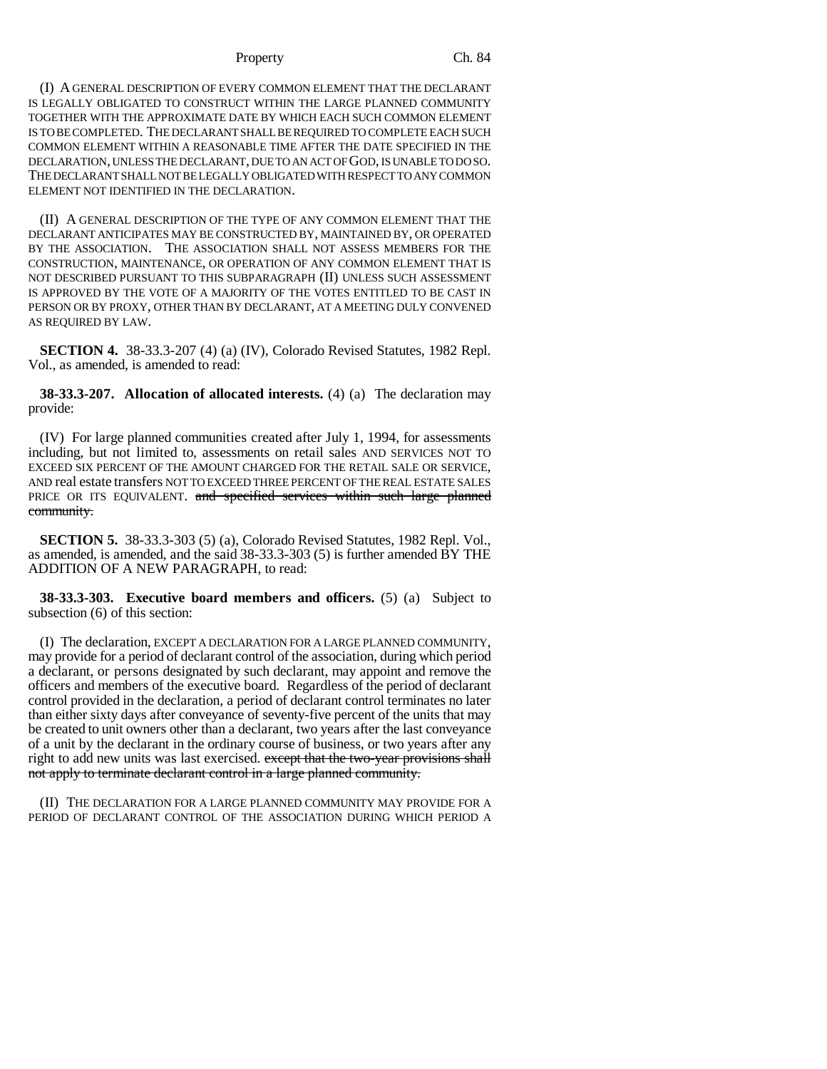## Property Ch. 84

(I) A GENERAL DESCRIPTION OF EVERY COMMON ELEMENT THAT THE DECLARANT IS LEGALLY OBLIGATED TO CONSTRUCT WITHIN THE LARGE PLANNED COMMUNITY TOGETHER WITH THE APPROXIMATE DATE BY WHICH EACH SUCH COMMON ELEMENT IS TO BE COMPLETED. THE DECLARANT SHALL BE REQUIRED TO COMPLETE EACH SUCH COMMON ELEMENT WITHIN A REASONABLE TIME AFTER THE DATE SPECIFIED IN THE DECLARATION, UNLESS THE DECLARANT, DUE TO AN ACT OF GOD, IS UNABLE TO DO SO. THE DECLARANT SHALL NOT BE LEGALLY OBLIGATED WITH RESPECT TO ANY COMMON ELEMENT NOT IDENTIFIED IN THE DECLARATION.

(II) A GENERAL DESCRIPTION OF THE TYPE OF ANY COMMON ELEMENT THAT THE DECLARANT ANTICIPATES MAY BE CONSTRUCTED BY, MAINTAINED BY, OR OPERATED BY THE ASSOCIATION. THE ASSOCIATION SHALL NOT ASSESS MEMBERS FOR THE CONSTRUCTION, MAINTENANCE, OR OPERATION OF ANY COMMON ELEMENT THAT IS NOT DESCRIBED PURSUANT TO THIS SUBPARAGRAPH (II) UNLESS SUCH ASSESSMENT IS APPROVED BY THE VOTE OF A MAJORITY OF THE VOTES ENTITLED TO BE CAST IN PERSON OR BY PROXY, OTHER THAN BY DECLARANT, AT A MEETING DULY CONVENED AS REQUIRED BY LAW.

**SECTION 4.** 38-33.3-207 (4) (a) (IV), Colorado Revised Statutes, 1982 Repl. Vol., as amended, is amended to read:

**38-33.3-207. Allocation of allocated interests.** (4) (a) The declaration may provide:

(IV) For large planned communities created after July 1, 1994, for assessments including, but not limited to, assessments on retail sales AND SERVICES NOT TO EXCEED SIX PERCENT OF THE AMOUNT CHARGED FOR THE RETAIL SALE OR SERVICE, AND real estate transfers NOT TO EXCEED THREE PERCENT OF THE REAL ESTATE SALES PRICE OR ITS EQUIVALENT. and specified services within such large planned community.

**SECTION 5.** 38-33.3-303 (5) (a), Colorado Revised Statutes, 1982 Repl. Vol., as amended, is amended, and the said 38-33.3-303 (5) is further amended BY THE ADDITION OF A NEW PARAGRAPH, to read:

**38-33.3-303. Executive board members and officers.** (5) (a) Subject to subsection (6) of this section:

(I) The declaration, EXCEPT A DECLARATION FOR A LARGE PLANNED COMMUNITY, may provide for a period of declarant control of the association, during which period a declarant, or persons designated by such declarant, may appoint and remove the officers and members of the executive board. Regardless of the period of declarant control provided in the declaration, a period of declarant control terminates no later than either sixty days after conveyance of seventy-five percent of the units that may be created to unit owners other than a declarant, two years after the last conveyance of a unit by the declarant in the ordinary course of business, or two years after any right to add new units was last exercised. except that the two-year provisions shall not apply to terminate declarant control in a large planned community.

(II) THE DECLARATION FOR A LARGE PLANNED COMMUNITY MAY PROVIDE FOR A PERIOD OF DECLARANT CONTROL OF THE ASSOCIATION DURING WHICH PERIOD A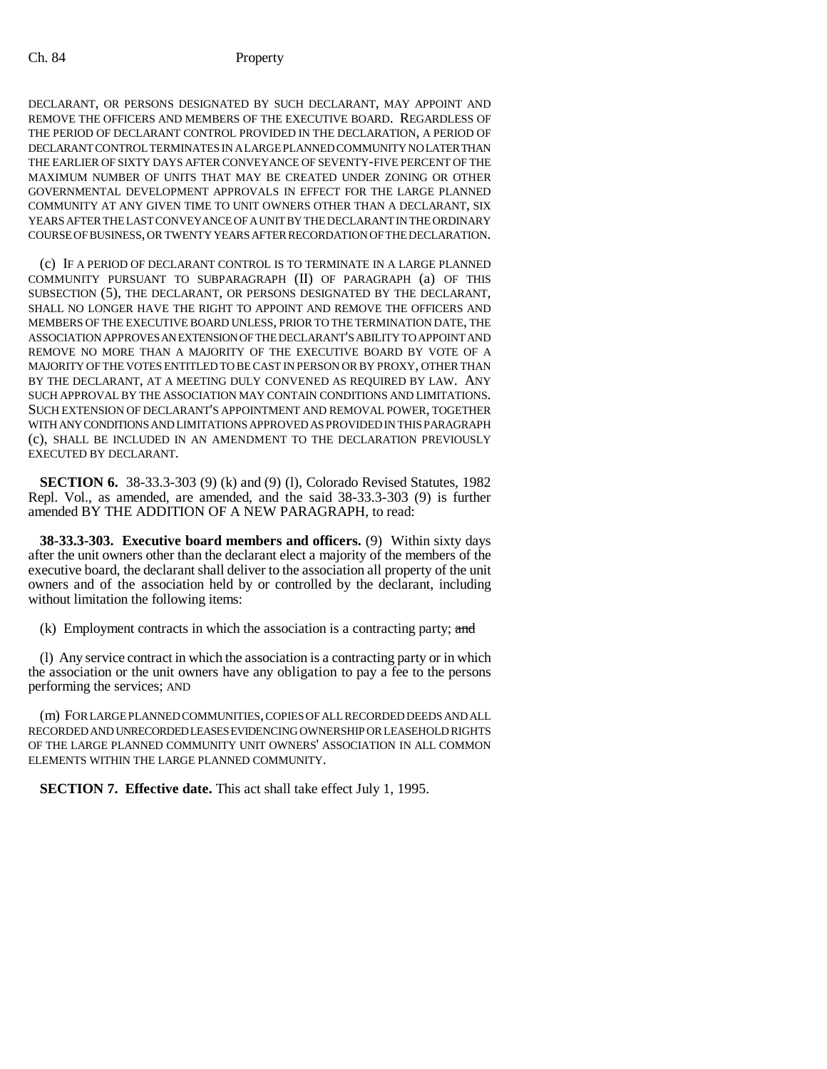DECLARANT, OR PERSONS DESIGNATED BY SUCH DECLARANT, MAY APPOINT AND REMOVE THE OFFICERS AND MEMBERS OF THE EXECUTIVE BOARD. REGARDLESS OF THE PERIOD OF DECLARANT CONTROL PROVIDED IN THE DECLARATION, A PERIOD OF DECLARANT CONTROL TERMINATES IN A LARGE PLANNED COMMUNITY NO LATER THAN THE EARLIER OF SIXTY DAYS AFTER CONVEYANCE OF SEVENTY-FIVE PERCENT OF THE MAXIMUM NUMBER OF UNITS THAT MAY BE CREATED UNDER ZONING OR OTHER GOVERNMENTAL DEVELOPMENT APPROVALS IN EFFECT FOR THE LARGE PLANNED COMMUNITY AT ANY GIVEN TIME TO UNIT OWNERS OTHER THAN A DECLARANT, SIX YEARS AFTER THE LAST CONVEYANCE OF A UNIT BY THE DECLARANT IN THE ORDINARY COURSE OF BUSINESS, OR TWENTY YEARS AFTER RECORDATION OF THE DECLARATION.

(c) IF A PERIOD OF DECLARANT CONTROL IS TO TERMINATE IN A LARGE PLANNED COMMUNITY PURSUANT TO SUBPARAGRAPH (II) OF PARAGRAPH (a) OF THIS SUBSECTION (5), THE DECLARANT, OR PERSONS DESIGNATED BY THE DECLARANT, SHALL NO LONGER HAVE THE RIGHT TO APPOINT AND REMOVE THE OFFICERS AND MEMBERS OF THE EXECUTIVE BOARD UNLESS, PRIOR TO THE TERMINATION DATE, THE ASSOCIATION APPROVES AN EXTENSION OF THE DECLARANT'S ABILITY TO APPOINT AND REMOVE NO MORE THAN A MAJORITY OF THE EXECUTIVE BOARD BY VOTE OF A MAJORITY OF THE VOTES ENTITLED TO BE CAST IN PERSON OR BY PROXY, OTHER THAN BY THE DECLARANT, AT A MEETING DULY CONVENED AS REQUIRED BY LAW. ANY SUCH APPROVAL BY THE ASSOCIATION MAY CONTAIN CONDITIONS AND LIMITATIONS. SUCH EXTENSION OF DECLARANT'S APPOINTMENT AND REMOVAL POWER, TOGETHER WITH ANY CONDITIONS AND LIMITATIONS APPROVED AS PROVIDED IN THIS PARAGRAPH (c), SHALL BE INCLUDED IN AN AMENDMENT TO THE DECLARATION PREVIOUSLY EXECUTED BY DECLARANT.

**SECTION 6.** 38-33.3-303 (9) (k) and (9) (l), Colorado Revised Statutes, 1982 Repl. Vol., as amended, are amended, and the said 38-33.3-303 (9) is further amended BY THE ADDITION OF A NEW PARAGRAPH, to read:

**38-33.3-303. Executive board members and officers.** (9) Within sixty days after the unit owners other than the declarant elect a majority of the members of the executive board, the declarant shall deliver to the association all property of the unit owners and of the association held by or controlled by the declarant, including without limitation the following items:

(k) Employment contracts in which the association is a contracting party; and

(l) Any service contract in which the association is a contracting party or in which the association or the unit owners have any obligation to pay a fee to the persons performing the services; AND

(m) FOR LARGE PLANNED COMMUNITIES, COPIES OF ALL RECORDED DEEDS AND ALL RECORDED AND UNRECORDED LEASES EVIDENCING OWNERSHIP OR LEASEHOLD RIGHTS OF THE LARGE PLANNED COMMUNITY UNIT OWNERS' ASSOCIATION IN ALL COMMON ELEMENTS WITHIN THE LARGE PLANNED COMMUNITY.

**SECTION 7. Effective date.** This act shall take effect July 1, 1995.